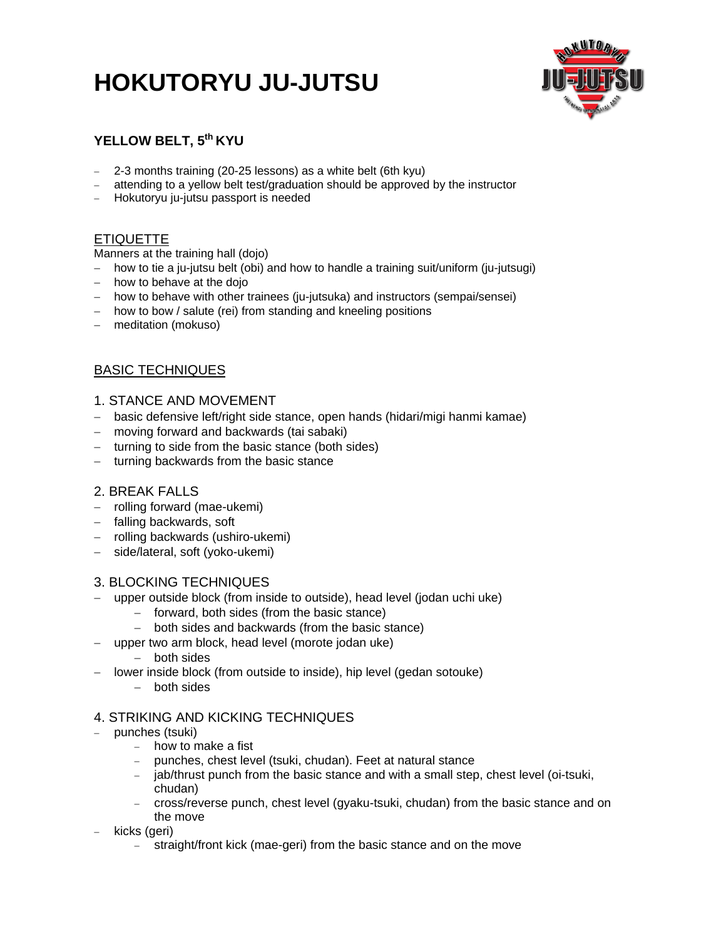# **HOKUTORYU JU-JUTSU**



# **YELLOW BELT, 5th KYU**

- 2-3 months training (20-25 lessons) as a white belt (6th kyu)
- attending to a yellow belt test/graduation should be approved by the instructor
- Hokutoryu ju-jutsu passport is needed

# ETIQUETTE

Manners at the training hall (dojo)

- how to tie a ju-jutsu belt (obi) and how to handle a training suit/uniform (ju-jutsugi)
- $-$  how to behave at the dojo
- how to behave with other trainees (ju-jutsuka) and instructors (sempai/sensei)
- how to bow / salute (rei) from standing and kneeling positions
- meditation (mokuso)

# BASIC TECHNIQUES

## 1. STANCE AND MOVEMENT

- basic defensive left/right side stance, open hands (hidari/migi hanmi kamae)
- moving forward and backwards (tai sabaki)
- $-$  turning to side from the basic stance (both sides)
- turning backwards from the basic stance

## 2. BREAK FALLS

- rolling forward (mae-ukemi)
- falling backwards, soft
- rolling backwards (ushiro-ukemi)
- side/lateral, soft (yoko-ukemi)

## 3. BLOCKING TECHNIQUES

- upper outside block (from inside to outside), head level (jodan uchi uke)
	- $-$  forward, both sides (from the basic stance)
	- both sides and backwards (from the basic stance)
- upper two arm block, head level (morote jodan uke)
	- both sides
- lower inside block (from outside to inside), hip level (gedan sotouke)
	- $-$  both sides

## 4. STRIKING AND KICKING TECHNIQUES

- punches (tsuki)
	- how to make a fist
	- punches, chest level (tsuki, chudan). Feet at natural stance
	- jab/thrust punch from the basic stance and with a small step, chest level (oi-tsuki, chudan)
	- cross/reverse punch, chest level (gyaku-tsuki, chudan) from the basic stance and on the move
- kicks (geri)
	- straight/front kick (mae-geri) from the basic stance and on the move